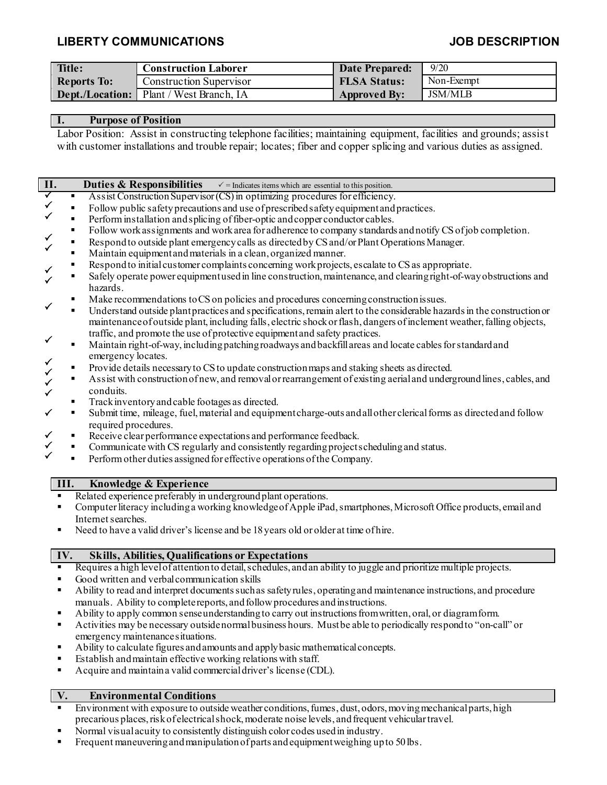## **LIBERTY COMMUNICATIONS JOB DESCRIPTION**

| Title:             | <b>Construction Laborer</b>                    | Date Prepared:      | 9/20           |
|--------------------|------------------------------------------------|---------------------|----------------|
| <b>Reports To:</b> | <b>Construction Supervisor</b>                 | <b>FLSA Status:</b> | Non-Exempt     |
|                    | <b>Dept./Location:</b> Plant / West Branch, IA | <b>Approved By:</b> | <b>JSM/MLB</b> |

#### **I. Purpose of Position**

Labor Position: Assist in constructing telephone facilities; maintaining equipment, facilities and grounds; assist with customer installations and trouble repair; locates; fiber and copper splicing and various duties as assigned.

| II.                                                                                                                                |                                                                                                                                   | <b>Duties &amp; Responsibilities</b><br>$\checkmark$ = Indicates items which are essential to this position.                                                                                                                                                                                                                       |  |  |
|------------------------------------------------------------------------------------------------------------------------------------|-----------------------------------------------------------------------------------------------------------------------------------|------------------------------------------------------------------------------------------------------------------------------------------------------------------------------------------------------------------------------------------------------------------------------------------------------------------------------------|--|--|
| $\overline{\checkmark}$                                                                                                            | $\blacksquare$                                                                                                                    | Assist Construction Supervisor (CS) in optimizing procedures for efficiency.                                                                                                                                                                                                                                                       |  |  |
|                                                                                                                                    |                                                                                                                                   | Follow public safety precautions and use of prescribed safety equipment and practices.                                                                                                                                                                                                                                             |  |  |
|                                                                                                                                    | $\blacksquare$                                                                                                                    | Perform installation and splicing of fiber-optic and copper conductor cables.                                                                                                                                                                                                                                                      |  |  |
|                                                                                                                                    | п                                                                                                                                 | Follow work assignments and work area for adherence to company standards and notify CS of job completion.                                                                                                                                                                                                                          |  |  |
|                                                                                                                                    | $\blacksquare$                                                                                                                    | Respond to outside plant emergency calls as directed by CS and/or Plant Operations Manager.                                                                                                                                                                                                                                        |  |  |
|                                                                                                                                    | ×,                                                                                                                                | Maintain equipment and materials in a clean, organized manner.                                                                                                                                                                                                                                                                     |  |  |
|                                                                                                                                    | Ξ                                                                                                                                 | Respond to initial customer complaints concerning work projects, escalate to CS as appropriate.                                                                                                                                                                                                                                    |  |  |
|                                                                                                                                    | Ξ                                                                                                                                 | Safely operate power equipment used in line construction, maintenance, and clearing right-of-way obstructions and                                                                                                                                                                                                                  |  |  |
|                                                                                                                                    |                                                                                                                                   | hazards.                                                                                                                                                                                                                                                                                                                           |  |  |
|                                                                                                                                    | п                                                                                                                                 | Make recommendations to CS on policies and procedures concerning construction is sues.                                                                                                                                                                                                                                             |  |  |
|                                                                                                                                    | $\blacksquare$                                                                                                                    | Understand outside plant practices and specifications, remain alert to the considerable hazards in the construction or                                                                                                                                                                                                             |  |  |
|                                                                                                                                    |                                                                                                                                   | maintenance of outside plant, including falls, electric shock or flash, dangers of inclement weather, falling objects,                                                                                                                                                                                                             |  |  |
|                                                                                                                                    |                                                                                                                                   | traffic, and promote the use of protective equipment and safety practices.                                                                                                                                                                                                                                                         |  |  |
|                                                                                                                                    | ×,                                                                                                                                | Maintain right-of-way, including patching roadways and backfill areas and locate cables for standard and                                                                                                                                                                                                                           |  |  |
|                                                                                                                                    |                                                                                                                                   | emergency locates.                                                                                                                                                                                                                                                                                                                 |  |  |
|                                                                                                                                    | Ξ                                                                                                                                 | Provide details necessary to CS to update construction maps and staking sheets as directed.                                                                                                                                                                                                                                        |  |  |
|                                                                                                                                    | п                                                                                                                                 | Assist with construction of new, and removal or rearrangement of existing aerial and underground lines, cables, and                                                                                                                                                                                                                |  |  |
|                                                                                                                                    |                                                                                                                                   | conduits.                                                                                                                                                                                                                                                                                                                          |  |  |
|                                                                                                                                    | ٠                                                                                                                                 | Track inventory and cable footages as directed.                                                                                                                                                                                                                                                                                    |  |  |
|                                                                                                                                    | ٠                                                                                                                                 | Submit time, mileage, fuel, material and equipment charge-outs and all other clerical forms as directed and follow                                                                                                                                                                                                                 |  |  |
|                                                                                                                                    |                                                                                                                                   | required procedures.                                                                                                                                                                                                                                                                                                               |  |  |
|                                                                                                                                    | ٠                                                                                                                                 | Receive clear performance expectations and performance feedback.                                                                                                                                                                                                                                                                   |  |  |
|                                                                                                                                    | ٠                                                                                                                                 | Communicate with CS regularly and consistently regarding project scheduling and status.                                                                                                                                                                                                                                            |  |  |
|                                                                                                                                    | ×,                                                                                                                                | Perform other duties assigned for effective operations of the Company.                                                                                                                                                                                                                                                             |  |  |
|                                                                                                                                    |                                                                                                                                   |                                                                                                                                                                                                                                                                                                                                    |  |  |
|                                                                                                                                    | III.                                                                                                                              | Knowledge & Experience                                                                                                                                                                                                                                                                                                             |  |  |
|                                                                                                                                    |                                                                                                                                   | Related experience preferably in underground plant operations.                                                                                                                                                                                                                                                                     |  |  |
| Computer literacy including a working knowledge of Apple iPad, smartphones, Microsoft Office products, email and<br>$\blacksquare$ |                                                                                                                                   |                                                                                                                                                                                                                                                                                                                                    |  |  |
|                                                                                                                                    |                                                                                                                                   | Internet searches.                                                                                                                                                                                                                                                                                                                 |  |  |
| п                                                                                                                                  |                                                                                                                                   | Need to have a valid driver's license and be 18 years old or older at time of hire.                                                                                                                                                                                                                                                |  |  |
|                                                                                                                                    |                                                                                                                                   |                                                                                                                                                                                                                                                                                                                                    |  |  |
|                                                                                                                                    | IV.                                                                                                                               | <b>Skills, Abilities, Qualifications or Expectations</b>                                                                                                                                                                                                                                                                           |  |  |
| $\blacksquare$                                                                                                                     |                                                                                                                                   | Requires a high level of attention to detail, schedules, and an ability to juggle and prioritize multiple projects.                                                                                                                                                                                                                |  |  |
| п                                                                                                                                  |                                                                                                                                   | Good written and verbal communication skills                                                                                                                                                                                                                                                                                       |  |  |
| Ability to read and interpret documents such as safety rules, operating and maintenance instructions, and procedure<br>Ξ           |                                                                                                                                   |                                                                                                                                                                                                                                                                                                                                    |  |  |
| manuals. Ability to complete reports, and follow procedures and instructions.                                                      |                                                                                                                                   |                                                                                                                                                                                                                                                                                                                                    |  |  |
| Ability to apply common sense understanding to carry out instructions from written, oral, or diagram form.<br>٠                    |                                                                                                                                   |                                                                                                                                                                                                                                                                                                                                    |  |  |
|                                                                                                                                    | Activities may be necessary outside normal business hours. Must be able to periodically respond to "on-call" or<br>$\blacksquare$ |                                                                                                                                                                                                                                                                                                                                    |  |  |
|                                                                                                                                    |                                                                                                                                   | emergency maintenance situations.                                                                                                                                                                                                                                                                                                  |  |  |
| п                                                                                                                                  |                                                                                                                                   | Ability to calculate figures and amounts and apply basic mathematical concepts.                                                                                                                                                                                                                                                    |  |  |
| п                                                                                                                                  |                                                                                                                                   | Establish and maintain effective working relations with staff.                                                                                                                                                                                                                                                                     |  |  |
| Е                                                                                                                                  |                                                                                                                                   | Acquire and maintain a valid commercial driver's license (CDL).                                                                                                                                                                                                                                                                    |  |  |
|                                                                                                                                    |                                                                                                                                   |                                                                                                                                                                                                                                                                                                                                    |  |  |
| T                                                                                                                                  |                                                                                                                                   | $\mathbf{E}$ $\mathbf{E}$ $\mathbf{E}$ $\mathbf{E}$ $\mathbf{E}$ $\mathbf{E}$ $\mathbf{E}$ $\mathbf{E}$ $\mathbf{E}$ $\mathbf{E}$ $\mathbf{E}$ $\mathbf{E}$ $\mathbf{E}$ $\mathbf{E}$ $\mathbf{E}$ $\mathbf{E}$ $\mathbf{E}$ $\mathbf{E}$ $\mathbf{E}$ $\mathbf{E}$ $\mathbf{E}$ $\mathbf{E}$ $\mathbf{E}$ $\mathbf{E}$ $\mathbf{$ |  |  |

# **V. Environmental Conditions**

- **Environment with exposure to outside weather conditions, fumes, dust, odors, moving mechanical parts, high** precarious places, risk of electrical shock, moderate noise levels, and frequent vehicular travel.
- Normal visual acuity to consistently distinguish color codes used in industry.
- **Figure 1** Frequent maneuvering and manipulation of parts and equipment weighing up to 50 lbs.